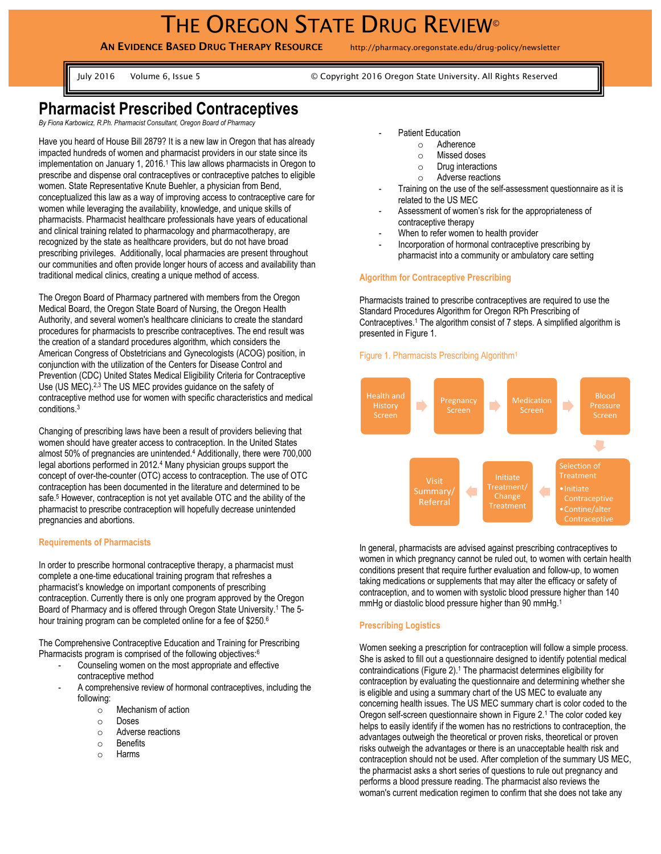# THE OREGON STATE DRUG REVIEW<sup>®</sup>

**AN EVIDENCE BASED DRUG THERAPY RESOURCE** http://pharmacy.oregonstate.edu/drug-policy/newsletter

July 2016 Volume 6, Issue 5 © Copyright 2016 Oregon State University. All Rights Reserved

# **Pharmacist Prescribed Contraceptives**

*By Fiona Karbowicz, R.Ph. Pharmacist Consultant, Oregon Board of Pharmacy*

Have you heard of House Bill 2879? It is a new law in Oregon that has already impacted hundreds of women and pharmacist providers in our state since its implementation on January 1, 2016.<sup>1</sup> This law allows pharmacists in Oregon to prescribe and dispense oral contraceptives or contraceptive patches to eligible women. State Representative Knute Buehler, a physician from Bend, conceptualized this law as a way of improving access to contraceptive care for women while leveraging the availability, knowledge, and unique skills of pharmacists. Pharmacist healthcare professionals have years of educational and clinical training related to pharmacology and pharmacotherapy, are recognized by the state as healthcare providers, but do not have broad prescribing privileges. Additionally, local pharmacies are present throughout our communities and often provide longer hours of access and availability than traditional medical clinics, creating a unique method of access.

The Oregon Board of Pharmacy partnered with members from the Oregon Medical Board, the Oregon State Board of Nursing, the Oregon Health Authority, and several women's healthcare clinicians to create the standard procedures for pharmacists to prescribe contraceptives. The end result was the creation of a standard procedures algorithm, which considers the American Congress of Obstetricians and Gynecologists (ACOG) position, in conjunction with the utilization of the Centers for Disease Control and Prevention (CDC) United States Medical Eligibility Criteria for Contraceptive Use (US MEC).2,3 The US MEC provides guidance on the safety of contraceptive method use for women with specific characteristics and medical conditions.<sup>3</sup>

Changing of prescribing laws have been a result of providers believing that women should have greater access to contraception. In the United States almost 50% of pregnancies are unintended.<sup>4</sup> Additionally, there were 700,000 legal abortions performed in 2012.<sup>4</sup> Many physician groups support the concept of over-the-counter (OTC) access to contraception. The use of OTC contraception has been documented in the literature and determined to be safe.<sup>5</sup> However, contraception is not yet available OTC and the ability of the pharmacist to prescribe contraception will hopefully decrease unintended pregnancies and abortions.

# **Requirements of Pharmacists**

In order to prescribe hormonal contraceptive therapy, a pharmacist must complete a one-time educational training program that refreshes a pharmacist's knowledge on important components of prescribing contraception. Currently there is only one program approved by the Oregon Board of Pharmacy and is offered through Oregon State University.<sup>1</sup> The 5hour training program can be completed online for a fee of \$250.<sup>6</sup>

The Comprehensive Contraceptive Education and Training for Prescribing Pharmacists program is comprised of the following objectives:<sup>6</sup>

- Counseling women on the most appropriate and effective contraceptive method
- A comprehensive review of hormonal contraceptives, including the following:
	- o Mechanism of action
	- o Doses
	- o Adverse reactions
	- o Benefits
	- o Harms
- Patient Education
	- o Adherence
	- o Missed doses
	- o Drug interactions
	- o Adverse reactions
- Training on the use of the self-assessment questionnaire as it is related to the US MEC
- Assessment of women's risk for the appropriateness of contraceptive therapy
- When to refer women to health provider
- Incorporation of hormonal contraceptive prescribing by pharmacist into a community or ambulatory care setting

## **Algorithm for Contraceptive Prescribing**

Pharmacists trained to prescribe contraceptives are required to use the Standard Procedures Algorithm for Oregon RPh Prescribing of Contraceptives.<sup>1</sup> The algorithm consist of 7 steps. A simplified algorithm is presented in Figure 1.

# Figure 1. Pharmacists Prescribing Algorithm<sup>1</sup>



In general, pharmacists are advised against prescribing contraceptives to women in which pregnancy cannot be ruled out, to women with certain health conditions present that require further evaluation and follow-up, to women taking medications or supplements that may alter the efficacy or safety of contraception, and to women with systolic blood pressure higher than 140 mmHg or diastolic blood pressure higher than 90 mmHg.<sup>1</sup>

#### **Prescribing Logistics**

Women seeking a prescription for contraception will follow a simple process. She is asked to fill out a questionnaire designed to identify potential medical contraindications (Figure 2). <sup>1</sup> The pharmacist determines eligibility for contraception by evaluating the questionnaire and determining whether she is eligible and using a summary chart of the US MEC to evaluate any concerning health issues. The US MEC summary chart is color coded to the Oregon self-screen questionnaire shown in Figure 2.<sup>1</sup> The color coded key helps to easily identify if the women has no restrictions to contraception, the advantages outweigh the theoretical or proven risks, theoretical or proven risks outweigh the advantages or there is an unacceptable health risk and contraception should not be used. After completion of the summary US MEC, the pharmacist asks a short series of questions to rule out pregnancy and performs a blood pressure reading. The pharmacist also reviews the woman's current medication regimen to confirm that she does not take any